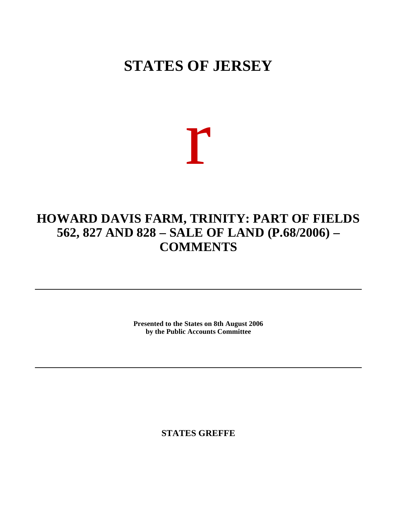# **STATES OF JERSEY**

r

# **HOWARD DAVIS FARM, TRINITY: PART OF FIELDS 562, 827 AND 828 – SALE OF LAND (P.68/2006) – COMMENTS**

**Presented to the States on 8th August 2006 by the Public Accounts Committee**

**STATES GREFFE**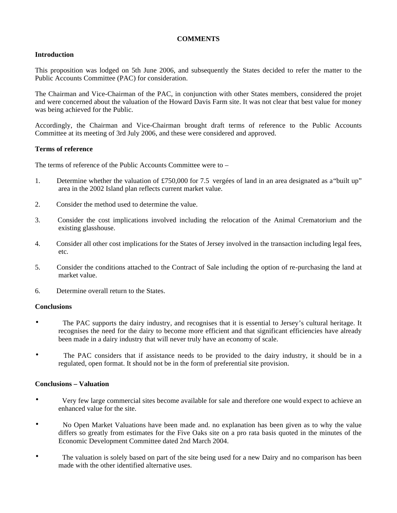#### **COMMENTS**

#### **Introduction**

This proposition was lodged on 5th June 2006, and subsequently the States decided to refer the matter to the Public Accounts Committee (PAC) for consideration.

The Chairman and Vice-Chairman of the PAC, in conjunction with other States members, considered the projet and were concerned about the valuation of the Howard Davis Farm site. It was not clear that best value for money was being achieved for the Public.

Accordingly, the Chairman and Vice-Chairman brought draft terms of reference to the Public Accounts Committee at its meeting of 3rd July 2006, and these were considered and approved.

#### **Terms of reference**

The terms of reference of the Public Accounts Committee were to –

- 1. Determine whether the valuation of £750,000 for 7.5 vergées of land in an area designated as a"built up" area in the 2002 Island plan reflects current market value.
- 2. Consider the method used to determine the value.
- 3. Consider the cost implications involved including the relocation of the Animal Crematorium and the existing glasshouse.
- 4. Consider all other cost implications for the States of Jersey involved in the transaction including legal fees, etc.
- 5. Consider the conditions attached to the Contract of Sale including the option of re-purchasing the land at market value.
- 6. Determine overall return to the States.

#### **Conclusions**

- The PAC supports the dairy industry, and recognises that it is essential to Jersey's cultural heritage. It recognises the need for the dairy to become more efficient and that significant efficiencies have already been made in a dairy industry that will never truly have an economy of scale.
- The PAC considers that if assistance needs to be provided to the dairy industry, it should be in a regulated, open format. It should not be in the form of preferential site provision.

#### **Conclusions – Valuation**

- Very few large commercial sites become available for sale and therefore one would expect to achieve an enhanced value for the site.
- No Open Market Valuations have been made and. no explanation has been given as to why the value differs so greatly from estimates for the Five Oaks site on a pro rata basis quoted in the minutes of the Economic Development Committee dated 2nd March 2004.
- The valuation is solely based on part of the site being used for a new Dairy and no comparison has been made with the other identified alternative uses.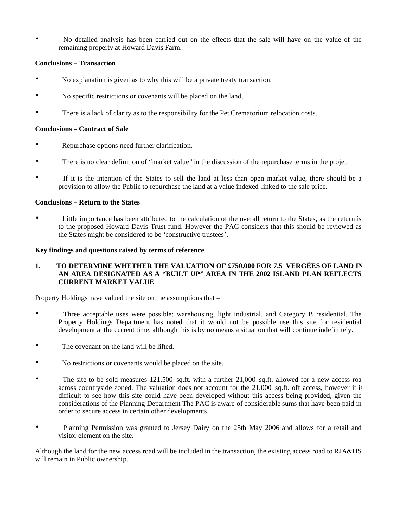• No detailed analysis has been carried out on the effects that the sale will have on the value of the remaining property at Howard Davis Farm.

### **Conclusions – Transaction**

- No explanation is given as to why this will be a private treaty transaction.
- No specific restrictions or covenants will be placed on the land.
- There is a lack of clarity as to the responsibility for the Pet Crematorium relocation costs.

#### **Conclusions – Contract of Sale**

- Repurchase options need further clarification.
- There is no clear definition of "market value" in the discussion of the repurchase terms in the projet.
- If it is the intention of the States to sell the land at less than open market value, there should be a provision to allow the Public to repurchase the land at a value indexed-linked to the sale price.

#### **Conclusions – Return to the States**

• Little importance has been attributed to the calculation of the overall return to the States, as the return is to the proposed Howard Davis Trust fund. However the PAC considers that this should be reviewed as the States might be considered to be 'constructive trustees'.

#### **Key findings and questions raised by terms of reference**

#### **1. TO DETERMINE WHETHER THE VALUATION OF £750,000 FOR 7.5 VERGÉES OF LAND IN AN AREA DESIGNATED AS A "BUILT UP" AREA IN THE 2002 ISLAND PLAN REFLECTS CURRENT MARKET VALUE**

Property Holdings have valued the site on the assumptions that –

- Three acceptable uses were possible: warehousing, light industrial, and Category B residential. The Property Holdings Department has noted that it would not be possible use this site for residential development at the current time, although this is by no means a situation that will continue indefinitely.
- The covenant on the land will be lifted.
- No restrictions or covenants would be placed on the site.
- The site to be sold measures 121,500 sq.ft. with a further 21,000 sq.ft. allowed for a new access road across countryside zoned. The valuation does not account for the 21,000 sq.ft. off access, however it is difficult to see how this site could have been developed without this access being provided, given the considerations of the Planning Department The PAC is aware of considerable sums that have been paid in order to secure access in certain other developments.
- Planning Permission was granted to Jersey Dairy on the 25th May 2006 and allows for a retail and visitor element on the site.

Although the land for the new access road will be included in the transaction, the existing access road to RJA&HS will remain in Public ownership.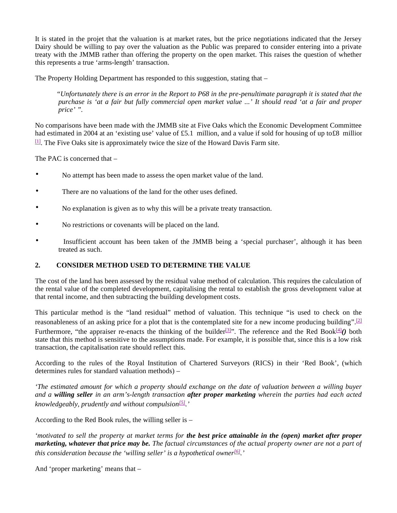It is stated in the projet that the valuation is at market rates, but the price negotiations indicated that the Jersey Dairy should be willing to pay over the valuation as the Public was prepared to consider entering into a private treaty with the JMMB rather than offering the property on the open market. This raises the question of whether this represents a true 'arms-length' transaction.

The Property Holding Department has responded to this suggestion, stating that –

 *"Unfortunately there is an error in the Report to P68 in the pre-penultimate paragraph it is stated that the purchase is 'at a fair but fully commercial open market value ...' It should read 'at a fair and proper price' ".*

No comparisons have been made with the JMMB site at Five Oaks which the Economic Development Committee had estimated in 2004 at an 'existing use' value of £5.1 million, and a value if sold for housing of up to£8 million  $\mathbb{H}$ . The Five Oaks site is approximately twice the size of the Howard Davis Farm site.

The PAC is concerned that –

- No attempt has been made to assess the open market value of the land.
- There are no valuations of the land for the other uses defined.
- No explanation is given as to why this will be a private treaty transaction.
- No restrictions or covenants will be placed on the land.
- Insufficient account has been taken of the JMMB being a 'special purchaser', although it has been treated as such.

# **2. CONSIDER METHOD USED TO DETERMINE THE VALUE**

The cost of the land has been assessed by the residual value method of calculation. This requires the calculation of the rental value of the completed development, capitalising the rental to establish the gross development value at that rental income, and then subtracting the building development costs.

This particular method is the "land residual" method of valuation. This technique "is used to check on the reasonableness of an asking price for a plot that is the contemplated site for a new income producing building".<sup>[2]</sup> Furthermore, "the appraiser re-enacts the thinking of the builder<sup>[3]</sup>". The reference and the Red Book<sup>[4]</sup>() both state that this method is sensitive to the assumptions made. For example, it is possible that, since this is a low risk transaction, the capitalisation rate should reflect this.

According to the rules of the Royal Institution of Chartered Surveyors (RICS) in their 'Red Book', (which determines rules for standard valuation methods) –

*'The estimated amount for which a property should exchange on the date of valuation between a willing buyer and a willing seller in an arm's-length transaction after proper marketing wherein the parties had each acted knowledgeably, prudently and without compulsion[5] .'*

According to the Red Book rules, the willing seller is –

*'motivated to sell the property at market terms for the best price attainable in the (open) market after proper marketing, whatever that price may be. The factual circumstances of the actual property owner are not a part of this consideration because the 'willing seller' is a hypothetical owner[6] .'*

And 'proper marketing' means that –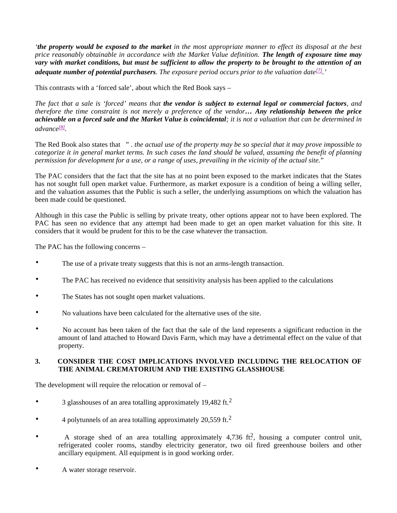*'the property would be exposed to the market in the most appropriate manner to effect its disposal at the best price reasonably obtainable in accordance with the Market Value definition. The length of exposure time may vary with market conditions, but must be sufficient to allow the property to be brought to the attention of an adequate number of potential purchasers. The exposure period occurs prior to the valuation date[7] .'*

This contrasts with a 'forced sale', about which the Red Book says –

*The fact that a sale is 'forced' means that the vendor is subject to external legal or commercial factors, and therefore the time constraint is not merely a preference of the vendor… Any relationship between the price achievable on a forced sale and the Market Value is coincidental; it is not a valuation that can be determined in advance[8] .*

The Red Book also states that " . *the actual use of the property may be so special that it may prove impossible to categorize it in general market terms. In such cases the land should be valued, assuming the benefit of planning permission for development for a use, or a range of uses, prevailing in the vicinity of the actual site.*"

The PAC considers that the fact that the site has at no point been exposed to the market indicates that the States has not sought full open market value. Furthermore, as market exposure is a condition of being a willing seller, and the valuation assumes that the Public is such a seller, the underlying assumptions on which the valuation has been made could be questioned.

Although in this case the Public is selling by private treaty, other options appear not to have been explored. The PAC has seen no evidence that any attempt had been made to get an open market valuation for this site. It considers that it would be prudent for this to be the case whatever the transaction.

The PAC has the following concerns –

- The use of a private treaty suggests that this is not an arms-length transaction.
- The PAC has received no evidence that sensitivity analysis has been applied to the calculations
- The States has not sought open market valuations.
- No valuations have been calculated for the alternative uses of the site.
- No account has been taken of the fact that the sale of the land represents a significant reduction in the amount of land attached to Howard Davis Farm, which may have a detrimental effect on the value of that property.

#### **3. CONSIDER THE COST IMPLICATIONS INVOLVED INCLUDING THE RELOCATION OF THE ANIMAL CREMATORIUM AND THE EXISTING GLASSHOUSE**

The development will require the relocation or removal of –

- 3 glasshouses of an area totalling approximately 19,482 ft.<sup>2</sup>
- 4 polytunnels of an area totalling approximately 20,559 ft.<sup>2</sup>
- A storage shed of an area totalling approximately 4,736 ft?, housing a computer control unit, refrigerated cooler rooms, standby electricity generator, two oil fired greenhouse boilers and other ancillary equipment. All equipment is in good working order.
- A water storage reservoir.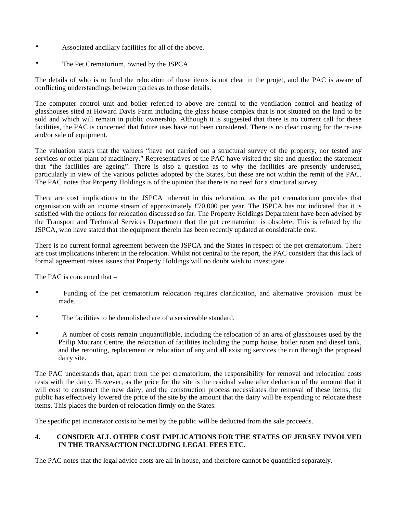- Associated ancillary facilities for all of the above.
- The Pet Crematorium, owned by the JSPCA.

The details of who is to fund the relocation of these items is not clear in the projet, and the PAC is aware of conflicting understandings between parties as to those details.

The computer control unit and boiler referred to above are central to the ventilation control and heating of glasshouses sited at Howard Davis Farm including the glass house complex that is not situated on the land to be sold and which will remain in public ownership. Although it is suggested that there is no current call for these facilities, the PAC is concerned that future uses have not been considered. There is no clear costing for the re-use and/or sale of equipment.

The valuation states that the valuers "have not carried out a structural survey of the property, nor tested any services or other plant of machinery." Representatives of the PAC have visited the site and question the statement that "the facilities are ageing". There is also a question as to why the facilities are presently underused, particularly in view of the various policies adopted by the States, but these are not within the remit of the PAC. The PAC notes that Property Holdings is of the opinion that there is no need for a structural survey.

There are cost implications to the JSPCA inherent in this relocation, as the pet crematorium provides that organisation with an income stream of approximately £70,000 per year. The JSPCA has not indicated that it is satisfied with the options for relocation discussed so far. The Property Holdings Department have been advised by the Transport and Technical Services Department that the pet crematorium is obsolete. This is refuted by the JSPCA, who have stated that the equipment therein has been recently updated at considerable cost.

There is no current formal agreement between the JSPCA and the States in respect of the pet crematorium. There are cost implications inherent in the relocation. Whilst not central to the report, the PAC considers that this lack of formal agreement raises issues that Property Holdings will no doubt wish to investigate.

The PAC is concerned that –

- Funding of the pet crematorium relocation requires clarification, and alternative provision must be made.
- The facilities to be demolished are of a serviceable standard.
- A number of costs remain unquantifiable, including the relocation of an area of glasshouses used by the Philip Mourant Centre, the relocation of facilities including the pump house, boiler room and diesel tank, and the rerouting, replacement or relocation of any and all existing services the run through the proposed dairy site.

The PAC understands that, apart from the pet crematorium, the responsibility for removal and relocation costs rests with the dairy. However, as the price for the site is the residual value after deduction of the amount that it will cost to construct the new dairy, and the construction process necessitates the removal of these items, the public has effectively lowered the price of the site by the amount that the dairy will be expending to relocate these items. This places the burden of relocation firmly on the States.

The specific pet incinerator costs to be met by the public will be deducted from the sale proceeds.

#### **4. CONSIDER ALL OTHER COST IMPLICATIONS FOR THE STATES OF JERSEY INVOLVED IN THE TRANSACTION INCLUDING LEGAL FEES ETC.**

The PAC notes that the legal advice costs are all in house, and therefore cannot be quantified separately.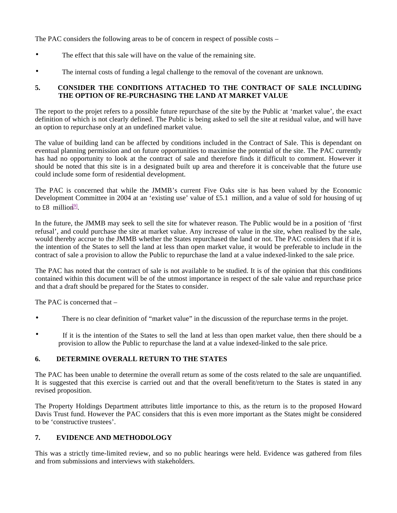The PAC considers the following areas to be of concern in respect of possible costs –

- The effect that this sale will have on the value of the remaining site.
- The internal costs of funding a legal challenge to the removal of the covenant are unknown.

# **5. CONSIDER THE CONDITIONS ATTACHED TO THE CONTRACT OF SALE INCLUDING THE OPTION OF RE-PURCHASING THE LAND AT MARKET VALUE**

The report to the projet refers to a possible future repurchase of the site by the Public at 'market value', the exact definition of which is not clearly defined. The Public is being asked to sell the site at residual value, and will have an option to repurchase only at an undefined market value.

The value of building land can be affected by conditions included in the Contract of Sale. This is dependant on eventual planning permission and on future opportunities to maximise the potential of the site. The PAC currently has had no opportunity to look at the contract of sale and therefore finds it difficult to comment. However it should be noted that this site is in a designated built up area and therefore it is conceivable that the future use could include some form of residential development.

The PAC is concerned that while the JMMB's current Five Oaks site is has been valued by the Economic Development Committee in 2004 at an 'existing use' value of £5.1 million, and a value of sold for housing of up to £8 million<sup>[9]</sup>.

In the future, the JMMB may seek to sell the site for whatever reason. The Public would be in a position of 'first refusal', and could purchase the site at market value. Any increase of value in the site, when realised by the sale, would thereby accrue to the JMMB whether the States repurchased the land or not. The PAC considers that if it is the intention of the States to sell the land at less than open market value, it would be preferable to include in the contract of sale a provision to allow the Public to repurchase the land at a value indexed-linked to the sale price.

The PAC has noted that the contract of sale is not available to be studied. It is of the opinion that this conditions contained within this document will be of the utmost importance in respect of the sale value and repurchase price and that a draft should be prepared for the States to consider.

The PAC is concerned that –

- There is no clear definition of "market value" in the discussion of the repurchase terms in the projet.
- If it is the intention of the States to sell the land at less than open market value, then there should be a provision to allow the Public to repurchase the land at a value indexed-linked to the sale price.

# **6. DETERMINE OVERALL RETURN TO THE STATES**

The PAC has been unable to determine the overall return as some of the costs related to the sale are unquantified. It is suggested that this exercise is carried out and that the overall benefit/return to the States is stated in any revised proposition.

The Property Holdings Department attributes little importance to this, as the return is to the proposed Howard Davis Trust fund. However the PAC considers that this is even more important as the States might be considered to be 'constructive trustees'.

# **7. EVIDENCE AND METHODOLOGY**

This was a strictly time-limited review, and so no public hearings were held. Evidence was gathered from files and from submissions and interviews with stakeholders.